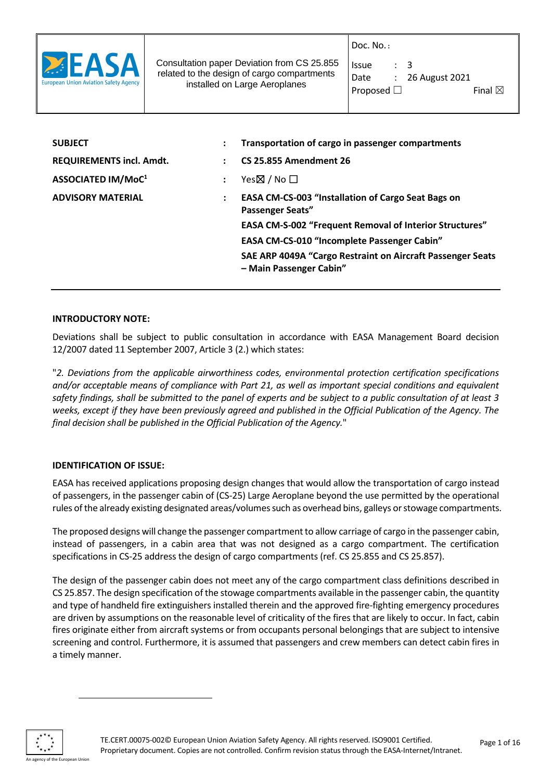

Consultation paper Deviation from CS 25.855 related to the design of cargo compartments installed on Large Aeroplanes

Doc. No. **:**

| Issue              | $\cdot$ 3 |                  |                   |  |
|--------------------|-----------|------------------|-------------------|--|
| Date               |           | : 26 August 2021 |                   |  |
| Proposed $\square$ |           |                  | Final $\boxtimes$ |  |

**SUBJECT : Transportation of cargo in passenger compartments REQUIREMENTS incl. Amdt. : CS 25.855 Amendment 26 ASSOCIATED IM/MoC<sup>1</sup> :** Yes☒ / No ☐ **ADVISORY MATERIAL : EASA CM-CS-003 "Installation of Cargo Seat Bags on Passenger Seats" EASA CM-S-002 "Frequent Removal of Interior Structures" EASA CM-CS-010 "Incomplete Passenger Cabin" SAE ARP 4049A "Cargo Restraint on Aircraft Passenger Seats – Main Passenger Cabin"**

#### **INTRODUCTORY NOTE:**

Deviations shall be subject to public consultation in accordance with EASA Management Board decision 12/2007 dated 11 September 2007, Article 3 (2.) which states:

"*2. Deviations from the applicable airworthiness codes, environmental protection certification specifications and/or acceptable means of compliance with Part 21, as well as important special conditions and equivalent safety findings, shall be submitted to the panel of experts and be subject to a public consultation of at least 3 weeks, except if they have been previously agreed and published in the Official Publication of the Agency. The final decision shall be published in the Official Publication of the Agency.*"

# **IDENTIFICATION OF ISSUE:**

EASA has received applications proposing design changes that would allow the transportation of cargo instead of passengers, in the passenger cabin of (CS-25) Large Aeroplane beyond the use permitted by the operational rules of the already existing designated areas/volumes such as overhead bins, galleys or stowage compartments.

The proposed designs will change the passenger compartment to allow carriage of cargo in the passenger cabin, instead of passengers, in a cabin area that was not designed as a cargo compartment. The certification specifications in CS-25 address the design of cargo compartments (ref. CS 25.855 and CS 25.857).

The design of the passenger cabin does not meet any of the cargo compartment class definitions described in CS 25.857. The design specification of the stowage compartments available in the passenger cabin, the quantity and type of handheld fire extinguishers installed therein and the approved fire-fighting emergency procedures are driven by assumptions on the reasonable level of criticality of the fires that are likely to occur. In fact, cabin fires originate either from aircraft systems or from occupants personal belongings that are subject to intensive screening and control. Furthermore, it is assumed that passengers and crew members can detect cabin fires in a timely manner.

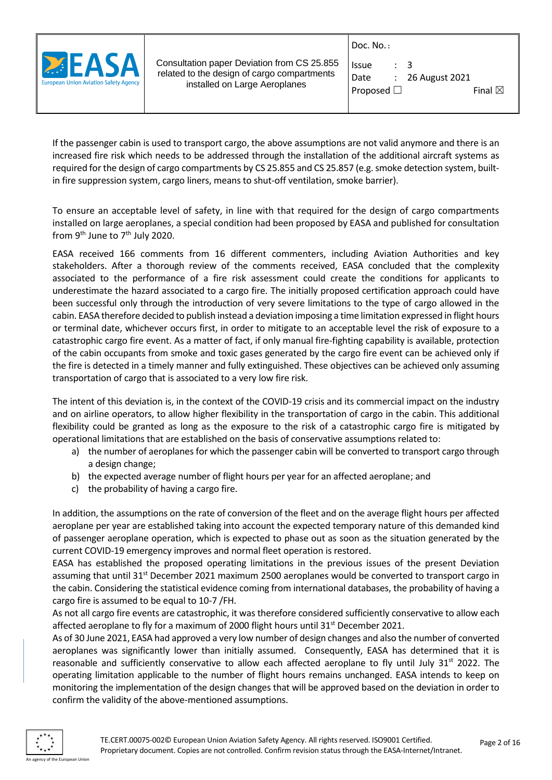

Consultation paper Deviation from CS 25.855 related to the design of cargo compartments installed on Large Aeroplanes

| Doc. No. : |  |
|------------|--|
|            |  |

| <b>Issue</b>       | $\cdot$ 3 |                    |                   |  |
|--------------------|-----------|--------------------|-------------------|--|
| Date               |           | $: 26$ August 2021 |                   |  |
| Proposed $\square$ |           |                    | Final $\boxtimes$ |  |

If the passenger cabin is used to transport cargo, the above assumptions are not valid anymore and there is an increased fire risk which needs to be addressed through the installation of the additional aircraft systems as required for the design of cargo compartments by CS 25.855 and CS 25.857 (e.g. smoke detection system, builtin fire suppression system, cargo liners, means to shut-off ventilation, smoke barrier).

To ensure an acceptable level of safety, in line with that required for the design of cargo compartments installed on large aeroplanes, a special condition had been proposed by EASA and published for consultation from 9<sup>th</sup> June to 7<sup>th</sup> July 2020.

EASA received 166 comments from 16 different commenters, including Aviation Authorities and key stakeholders. After a thorough review of the comments received, EASA concluded that the complexity associated to the performance of a fire risk assessment could create the conditions for applicants to underestimate the hazard associated to a cargo fire. The initially proposed certification approach could have been successful only through the introduction of very severe limitations to the type of cargo allowed in the cabin. EASA therefore decided to publish instead a deviation imposing a time limitation expressed in flight hours or terminal date, whichever occurs first, in order to mitigate to an acceptable level the risk of exposure to a catastrophic cargo fire event. As a matter of fact, if only manual fire-fighting capability is available, protection of the cabin occupants from smoke and toxic gases generated by the cargo fire event can be achieved only if the fire is detected in a timely manner and fully extinguished. These objectives can be achieved only assuming transportation of cargo that is associated to a very low fire risk.

The intent of this deviation is, in the context of the COVID-19 crisis and its commercial impact on the industry and on airline operators, to allow higher flexibility in the transportation of cargo in the cabin. This additional flexibility could be granted as long as the exposure to the risk of a catastrophic cargo fire is mitigated by operational limitations that are established on the basis of conservative assumptions related to:

- a) the number of aeroplanes for which the passenger cabin will be converted to transport cargo through a design change;
- b) the expected average number of flight hours per year for an affected aeroplane; and
- c) the probability of having a cargo fire.

In addition, the assumptions on the rate of conversion of the fleet and on the average flight hours per affected aeroplane per year are established taking into account the expected temporary nature of this demanded kind of passenger aeroplane operation, which is expected to phase out as soon as the situation generated by the current COVID-19 emergency improves and normal fleet operation is restored.

EASA has established the proposed operating limitations in the previous issues of the present Deviation assuming that until 31<sup>st</sup> December 2021 maximum 2500 aeroplanes would be converted to transport cargo in the cabin. Considering the statistical evidence coming from international databases, the probability of having a cargo fire is assumed to be equal to 10-7 /FH.

As not all cargo fire events are catastrophic, it was therefore considered sufficiently conservative to allow each affected aeroplane to fly for a maximum of 2000 flight hours until 31<sup>st</sup> December 2021.

As of 30 June 2021, EASA had approved a very low number of design changes and also the number of converted aeroplanes was significantly lower than initially assumed. Consequently, EASA has determined that it is reasonable and sufficiently conservative to allow each affected aeroplane to fly until July  $31<sup>st</sup> 2022$ . The operating limitation applicable to the number of flight hours remains unchanged. EASA intends to keep on monitoring the implementation of the design changes that will be approved based on the deviation in order to confirm the validity of the above-mentioned assumptions.

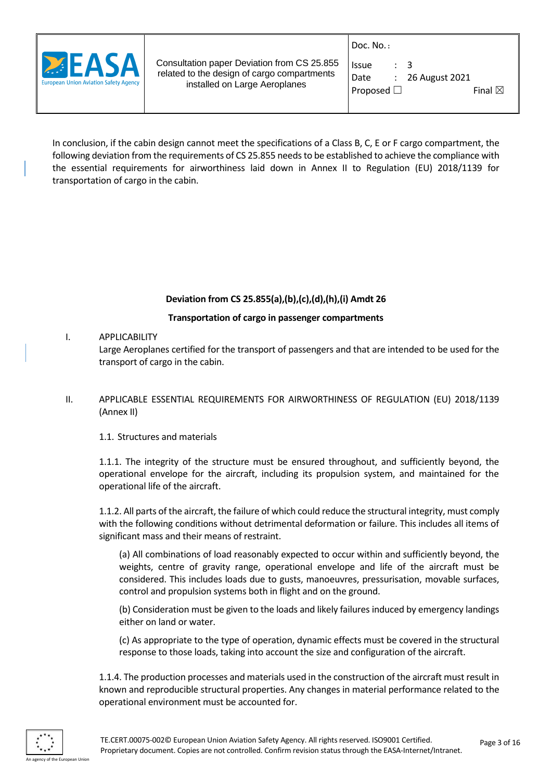

| Issue              | $\cdot$ 3 |                             |                   |  |
|--------------------|-----------|-----------------------------|-------------------|--|
| Date               |           | $\therefore$ 26 August 2021 |                   |  |
| Proposed $\square$ |           |                             | Final $\boxtimes$ |  |

In conclusion, if the cabin design cannot meet the specifications of a Class B, C, E or F cargo compartment, the following deviation from the requirements of CS 25.855 needs to be established to achieve the compliance with the essential requirements for airworthiness laid down in Annex II to Regulation (EU) 2018/1139 for transportation of cargo in the cabin.

# **Deviation from CS 25.855(a),(b),(c),(d),(h),(i) Amdt 26**

# **Transportation of cargo in passenger compartments**

# I. APPLICABILITY

Large Aeroplanes certified for the transport of passengers and that are intended to be used for the transport of cargo in the cabin.

II. APPLICABLE ESSENTIAL REQUIREMENTS FOR AIRWORTHINESS OF REGULATION (EU) 2018/1139 (Annex II)

# 1.1. Structures and materials

1.1.1. The integrity of the structure must be ensured throughout, and sufficiently beyond, the operational envelope for the aircraft, including its propulsion system, and maintained for the operational life of the aircraft.

1.1.2. All parts of the aircraft, the failure of which could reduce the structural integrity, must comply with the following conditions without detrimental deformation or failure. This includes all items of significant mass and their means of restraint.

(a) All combinations of load reasonably expected to occur within and sufficiently beyond, the weights, centre of gravity range, operational envelope and life of the aircraft must be considered. This includes loads due to gusts, manoeuvres, pressurisation, movable surfaces, control and propulsion systems both in flight and on the ground.

(b) Consideration must be given to the loads and likely failures induced by emergency landings either on land or water.

(c) As appropriate to the type of operation, dynamic effects must be covered in the structural response to those loads, taking into account the size and configuration of the aircraft.

1.1.4. The production processes and materials used in the construction of the aircraft must result in known and reproducible structural properties. Any changes in material performance related to the operational environment must be accounted for.

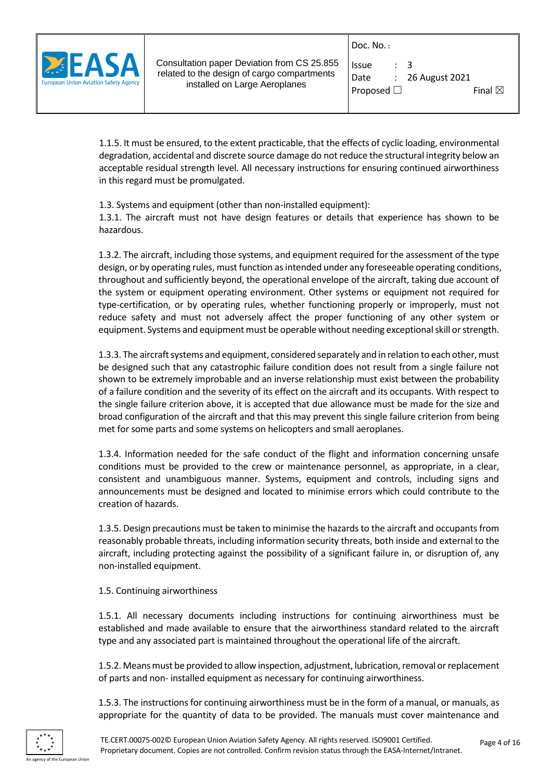Doc. No. **:**



Consultation paper Deviation from CS 25.855 related to the design of cargo compartments installed on Large Aeroplanes

| Issue              | $\therefore$ 3 |                             |                   |  |
|--------------------|----------------|-----------------------------|-------------------|--|
| Date               |                | $\therefore$ 26 August 2021 |                   |  |
| Proposed $\square$ |                |                             | Final $\boxtimes$ |  |

1.1.5. It must be ensured, to the extent practicable, that the effects of cyclic loading, environmental degradation, accidental and discrete source damage do not reduce the structural integrity below an acceptable residual strength level. All necessary instructions for ensuring continued airworthiness in this regard must be promulgated.

1.3. Systems and equipment (other than non-installed equipment):

1.3.1. The aircraft must not have design features or details that experience has shown to be hazardous.

1.3.2. The aircraft, including those systems, and equipment required for the assessment of the type design, or by operating rules, must function as intended under any foreseeable operating conditions, throughout and sufficiently beyond, the operational envelope of the aircraft, taking due account of the system or equipment operating environment. Other systems or equipment not required for type-certification, or by operating rules, whether functioning properly or improperly, must not reduce safety and must not adversely affect the proper functioning of any other system or equipment. Systems and equipment must be operable without needing exceptional skill or strength.

1.3.3. The aircraft systems and equipment, considered separately and in relation to each other, must be designed such that any catastrophic failure condition does not result from a single failure not shown to be extremely improbable and an inverse relationship must exist between the probability of a failure condition and the severity of its effect on the aircraft and its occupants. With respect to the single failure criterion above, it is accepted that due allowance must be made for the size and broad configuration of the aircraft and that this may prevent this single failure criterion from being met for some parts and some systems on helicopters and small aeroplanes.

1.3.4. Information needed for the safe conduct of the flight and information concerning unsafe conditions must be provided to the crew or maintenance personnel, as appropriate, in a clear, consistent and unambiguous manner. Systems, equipment and controls, including signs and announcements must be designed and located to minimise errors which could contribute to the creation of hazards.

1.3.5. Design precautions must be taken to minimise the hazards to the aircraft and occupants from reasonably probable threats, including information security threats, both inside and external to the aircraft, including protecting against the possibility of a significant failure in, or disruption of, any non-installed equipment.

#### 1.5. Continuing airworthiness

1.5.1. All necessary documents including instructions for continuing airworthiness must be established and made available to ensure that the airworthiness standard related to the aircraft type and any associated part is maintained throughout the operational life of the aircraft.

1.5.2. Means must be provided to allow inspection, adjustment, lubrication, removal or replacement of parts and non- installed equipment as necessary for continuing airworthiness.

1.5.3. The instructions for continuing airworthiness must be in the form of a manual, or manuals, as appropriate for the quantity of data to be provided. The manuals must cover maintenance and

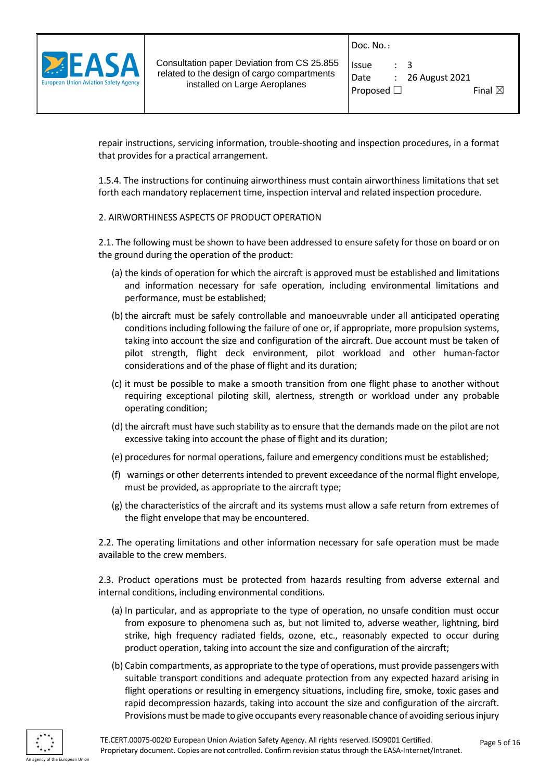

| Issue           | $\cdot$ 3 |                  |                   |  |
|-----------------|-----------|------------------|-------------------|--|
| Date            |           | : 26 August 2021 |                   |  |
| Proposed $\Box$ |           |                  | Final $\boxtimes$ |  |

repair instructions, servicing information, trouble-shooting and inspection procedures, in a format that provides for a practical arrangement.

1.5.4. The instructions for continuing airworthiness must contain airworthiness limitations that set forth each mandatory replacement time, inspection interval and related inspection procedure.

#### 2. AIRWORTHINESS ASPECTS OF PRODUCT OPERATION

2.1. The following must be shown to have been addressed to ensure safety for those on board or on the ground during the operation of the product:

- (a) the kinds of operation for which the aircraft is approved must be established and limitations and information necessary for safe operation, including environmental limitations and performance, must be established;
- (b) the aircraft must be safely controllable and manoeuvrable under all anticipated operating conditions including following the failure of one or, if appropriate, more propulsion systems, taking into account the size and configuration of the aircraft. Due account must be taken of pilot strength, flight deck environment, pilot workload and other human-factor considerations and of the phase of flight and its duration;
- (c) it must be possible to make a smooth transition from one flight phase to another without requiring exceptional piloting skill, alertness, strength or workload under any probable operating condition;
- (d) the aircraft must have such stability as to ensure that the demands made on the pilot are not excessive taking into account the phase of flight and its duration;
- (e) procedures for normal operations, failure and emergency conditions must be established;
- (f) warnings or other deterrents intended to prevent exceedance of the normal flight envelope, must be provided, as appropriate to the aircraft type;
- (g) the characteristics of the aircraft and its systems must allow a safe return from extremes of the flight envelope that may be encountered.

2.2. The operating limitations and other information necessary for safe operation must be made available to the crew members.

2.3. Product operations must be protected from hazards resulting from adverse external and internal conditions, including environmental conditions.

- (a) In particular, and as appropriate to the type of operation, no unsafe condition must occur from exposure to phenomena such as, but not limited to, adverse weather, lightning, bird strike, high frequency radiated fields, ozone, etc., reasonably expected to occur during product operation, taking into account the size and configuration of the aircraft;
- (b) Cabin compartments, as appropriate to the type of operations, must provide passengers with suitable transport conditions and adequate protection from any expected hazard arising in flight operations or resulting in emergency situations, including fire, smoke, toxic gases and rapid decompression hazards, taking into account the size and configuration of the aircraft. Provisions must be made to give occupants every reasonable chance of avoiding serious injury

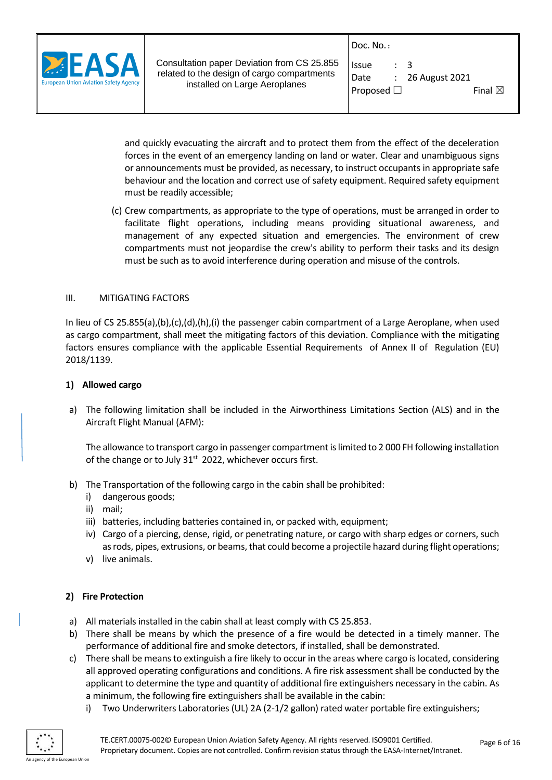

| Issue           | $\cdot$ 3 |                  |                   |  |
|-----------------|-----------|------------------|-------------------|--|
| Date            |           | : 26 August 2021 |                   |  |
| Proposed $\Box$ |           |                  | Final $\boxtimes$ |  |

and quickly evacuating the aircraft and to protect them from the effect of the deceleration forces in the event of an emergency landing on land or water. Clear and unambiguous signs or announcements must be provided, as necessary, to instruct occupants in appropriate safe behaviour and the location and correct use of safety equipment. Required safety equipment must be readily accessible;

(c) Crew compartments, as appropriate to the type of operations, must be arranged in order to facilitate flight operations, including means providing situational awareness, and management of any expected situation and emergencies. The environment of crew compartments must not jeopardise the crew's ability to perform their tasks and its design must be such as to avoid interference during operation and misuse of the controls.

#### III. MITIGATING FACTORS

In lieu of CS 25.855(a),(b),(c),(d),(h),(i) the passenger cabin compartment of a Large Aeroplane, when used as cargo compartment, shall meet the mitigating factors of this deviation. Compliance with the mitigating factors ensures compliance with the applicable Essential Requirements of Annex II of Regulation (EU) 2018/1139.

#### **1) Allowed cargo**

a) The following limitation shall be included in the Airworthiness Limitations Section (ALS) and in the Aircraft Flight Manual (AFM):

The allowance to transport cargo in passenger compartment is limited to 2 000 FH following installation of the change or to July 31<sup>st</sup> 2022, whichever occurs first.

- b) The Transportation of the following cargo in the cabin shall be prohibited:
	- i) dangerous goods;
	- ii) mail;
	- iii) batteries, including batteries contained in, or packed with, equipment;
	- iv) Cargo of a piercing, dense, rigid, or penetrating nature, or cargo with sharp edges or corners, such as rods, pipes, extrusions, or beams, that could become a projectile hazard during flight operations;
	- v) live animals.

# **2) Fire Protection**

- a) All materials installed in the cabin shall at least comply with CS 25.853.
- b) There shall be means by which the presence of a fire would be detected in a timely manner. The performance of additional fire and smoke detectors, if installed, shall be demonstrated.
- c) There shall be means to extinguish a fire likely to occur in the areas where cargo is located, considering all approved operating configurations and conditions. A fire risk assessment shall be conducted by the applicant to determine the type and quantity of additional fire extinguishers necessary in the cabin. As a minimum, the following fire extinguishers shall be available in the cabin:
	- Two Underwriters Laboratories (UL) 2A (2-1/2 gallon) rated water portable fire extinguishers;

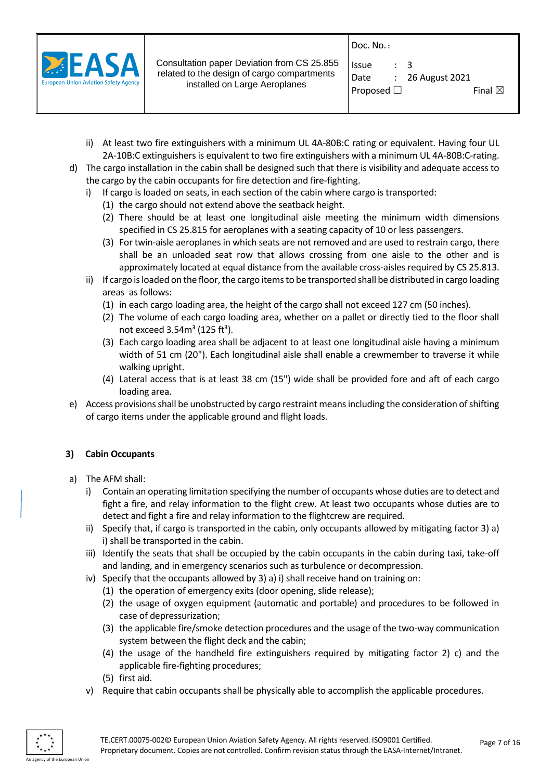

| Issue              | $\cdot$ 3 |                             |                   |  |
|--------------------|-----------|-----------------------------|-------------------|--|
| Date               |           | $\therefore$ 26 August 2021 |                   |  |
| Proposed $\square$ |           |                             | Final $\boxtimes$ |  |

- ii) At least two fire extinguishers with a minimum UL 4A-80B:C rating or equivalent. Having four UL 2A-10B:C extinguishers is equivalent to two fire extinguishers with a minimum UL 4A-80B:C-rating.
- d) The cargo installation in the cabin shall be designed such that there is visibility and adequate access to the cargo by the cabin occupants for fire detection and fire-fighting.
	- i) If cargo is loaded on seats, in each section of the cabin where cargo is transported:
		- (1) the cargo should not extend above the seatback height.
		- (2) There should be at least one longitudinal aisle meeting the minimum width dimensions specified in CS 25.815 for aeroplanes with a seating capacity of 10 or less passengers.
		- (3) For twin-aisle aeroplanes in which seats are not removed and are used to restrain cargo, there shall be an unloaded seat row that allows crossing from one aisle to the other and is approximately located at equal distance from the available cross-aisles required by CS 25.813.
	- ii) If cargo is loaded on the floor, the cargo items to be transported shall be distributed in cargo loading areas as follows:
		- (1) in each cargo loading area, the height of the cargo shall not exceed 127 cm (50 inches).
		- (2) The volume of each cargo loading area, whether on a pallet or directly tied to the floor shall not exceed  $3.54m^3$  (125 ft<sup>3</sup>).
		- (3) Each cargo loading area shall be adjacent to at least one longitudinal aisle having a minimum width of 51 cm (20"). Each longitudinal aisle shall enable a crewmember to traverse it while walking upright.
		- (4) Lateral access that is at least 38 cm (15") wide shall be provided fore and aft of each cargo loading area.
- e) Access provisions shall be unobstructed by cargo restraint means including the consideration ofshifting of cargo items under the applicable ground and flight loads.

# **3) Cabin Occupants**

- a) The AFM shall:
	- i) Contain an operating limitation specifying the number of occupants whose duties are to detect and fight a fire, and relay information to the flight crew. At least two occupants whose duties are to detect and fight a fire and relay information to the flightcrew are required.
	- ii) Specify that, if cargo is transported in the cabin, only occupants allowed by mitigating factor 3) a) i) shall be transported in the cabin.
	- iii) Identify the seats that shall be occupied by the cabin occupants in the cabin during taxi, take-off and landing, and in emergency scenarios such as turbulence or decompression.
	- iv) Specify that the occupants allowed by 3) a) i) shall receive hand on training on:
		- (1) the operation of emergency exits (door opening, slide release);
		- (2) the usage of oxygen equipment (automatic and portable) and procedures to be followed in case of depressurization;
		- (3) the applicable fire/smoke detection procedures and the usage of the two-way communication system between the flight deck and the cabin;
		- (4) the usage of the handheld fire extinguishers required by mitigating factor 2) c) and the applicable fire-fighting procedures;
		- (5) first aid.
	- v) Require that cabin occupants shall be physically able to accomplish the applicable procedures.

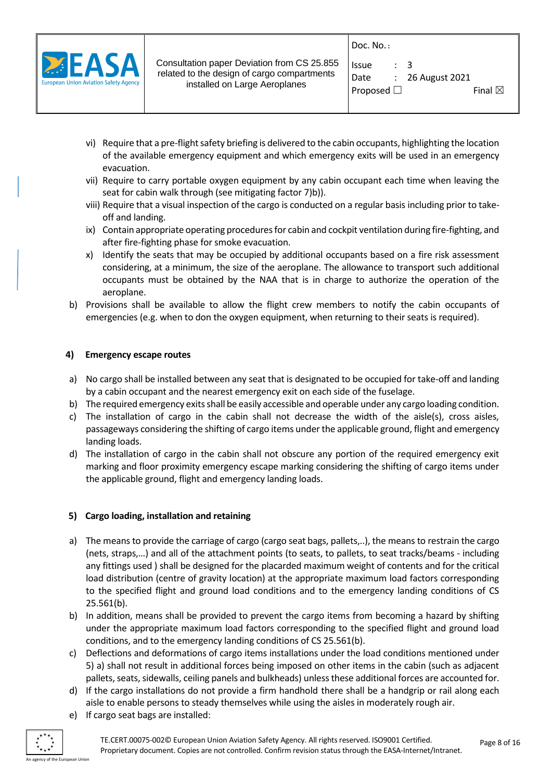

| <b>Issue</b>       | $\cdot$ 3 |                             |                   |  |
|--------------------|-----------|-----------------------------|-------------------|--|
| Date               |           | $\therefore$ 26 August 2021 |                   |  |
| Proposed $\square$ |           |                             | Final $\boxtimes$ |  |

- vi) Require that a pre-flight safety briefing is delivered to the cabin occupants, highlighting the location of the available emergency equipment and which emergency exits will be used in an emergency evacuation.
- vii) Require to carry portable oxygen equipment by any cabin occupant each time when leaving the seat for cabin walk through (see mitigating factor 7)b)).
- viii) Require that a visual inspection of the cargo is conducted on a regular basis including prior to takeoff and landing.
- ix) Contain appropriate operating procedures for cabin and cockpit ventilation during fire-fighting, and after fire-fighting phase for smoke evacuation.
- x) Identify the seats that may be occupied by additional occupants based on a fire risk assessment considering, at a minimum, the size of the aeroplane. The allowance to transport such additional occupants must be obtained by the NAA that is in charge to authorize the operation of the aeroplane.
- b) Provisions shall be available to allow the flight crew members to notify the cabin occupants of emergencies (e.g. when to don the oxygen equipment, when returning to their seats is required).

# **4) Emergency escape routes**

- a) No cargo shall be installed between any seat that is designated to be occupied for take-off and landing by a cabin occupant and the nearest emergency exit on each side of the fuselage.
- b) The required emergency exits shall be easily accessible and operable under any cargo loading condition.
- c) The installation of cargo in the cabin shall not decrease the width of the aisle(s), cross aisles, passageways considering the shifting of cargo items under the applicable ground, flight and emergency landing loads.
- d) The installation of cargo in the cabin shall not obscure any portion of the required emergency exit marking and floor proximity emergency escape marking considering the shifting of cargo items under the applicable ground, flight and emergency landing loads.

# **5) Cargo loading, installation and retaining**

- a) The means to provide the carriage of cargo (cargo seat bags, pallets,..), the means to restrain the cargo (nets, straps,…) and all of the attachment points (to seats, to pallets, to seat tracks/beams - including any fittings used ) shall be designed for the placarded maximum weight of contents and for the critical load distribution (centre of gravity location) at the appropriate maximum load factors corresponding to the specified flight and ground load conditions and to the emergency landing conditions of CS 25.561(b).
- b) In addition, means shall be provided to prevent the cargo items from becoming a hazard by shifting under the appropriate maximum load factors corresponding to the specified flight and ground load conditions, and to the emergency landing conditions of CS 25.561(b).
- c) Deflections and deformations of cargo items installations under the load conditions mentioned under 5) a) shall not result in additional forces being imposed on other items in the cabin (such as adjacent pallets, seats, sidewalls, ceiling panels and bulkheads) unless these additional forces are accounted for.
- d) If the cargo installations do not provide a firm handhold there shall be a handgrip or rail along each aisle to enable persons to steady themselves while using the aisles in moderately rough air.
- e) If cargo seat bags are installed:

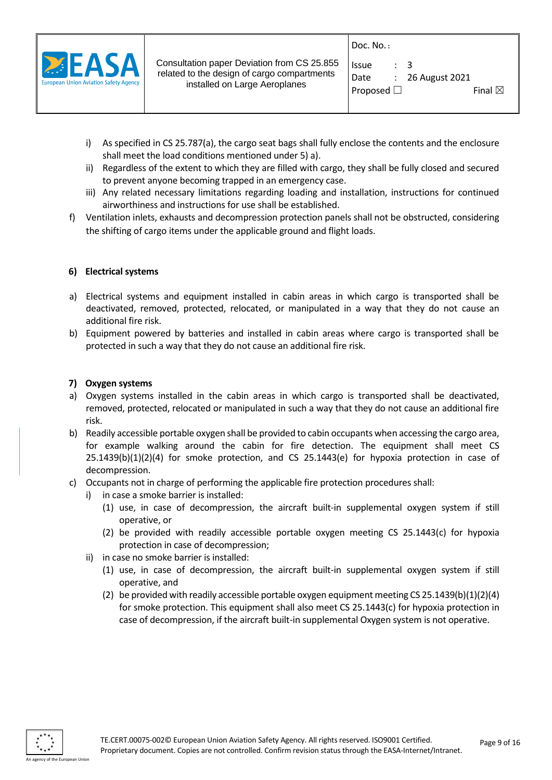

| Issue              | $\therefore$ 3 |                             |                   |  |
|--------------------|----------------|-----------------------------|-------------------|--|
| Date               |                | $\therefore$ 26 August 2021 |                   |  |
| Proposed $\square$ |                |                             | Final $\boxtimes$ |  |

- i) As specified in CS 25.787(a), the cargo seat bags shall fully enclose the contents and the enclosure shall meet the load conditions mentioned under 5) a).
- ii) Regardless of the extent to which they are filled with cargo, they shall be fully closed and secured to prevent anyone becoming trapped in an emergency case.
- iii) Any related necessary limitations regarding loading and installation, instructions for continued airworthiness and instructions for use shall be established.
- f) Ventilation inlets, exhausts and decompression protection panels shall not be obstructed, considering the shifting of cargo items under the applicable ground and flight loads.

# **6) Electrical systems**

- a) Electrical systems and equipment installed in cabin areas in which cargo is transported shall be deactivated, removed, protected, relocated, or manipulated in a way that they do not cause an additional fire risk.
- b) Equipment powered by batteries and installed in cabin areas where cargo is transported shall be protected in such a way that they do not cause an additional fire risk.

#### **7) Oxygen systems**

- a) Oxygen systems installed in the cabin areas in which cargo is transported shall be deactivated, removed, protected, relocated or manipulated in such a way that they do not cause an additional fire risk.
- b) Readily accessible portable oxygen shall be provided to cabin occupants when accessing the cargo area, for example walking around the cabin for fire detection. The equipment shall meet CS  $25.1439(b)(1)(2)(4)$  for smoke protection, and CS  $25.1443(e)$  for hypoxia protection in case of decompression.
- c) Occupants not in charge of performing the applicable fire protection procedures shall:
	- i) in case a smoke barrier is installed:
		- (1) use, in case of decompression, the aircraft built-in supplemental oxygen system if still operative, or
		- (2) be provided with readily accessible portable oxygen meeting CS 25.1443(c) for hypoxia protection in case of decompression;
	- ii) in case no smoke barrier is installed:
		- (1) use, in case of decompression, the aircraft built-in supplemental oxygen system if still operative, and
		- (2) be provided with readily accessible portable oxygen equipment meeting CS 25.1439(b)(1)(2)(4) for smoke protection. This equipment shall also meet CS 25.1443(c) for hypoxia protection in case of decompression, if the aircraft built-in supplemental Oxygen system is not operative.

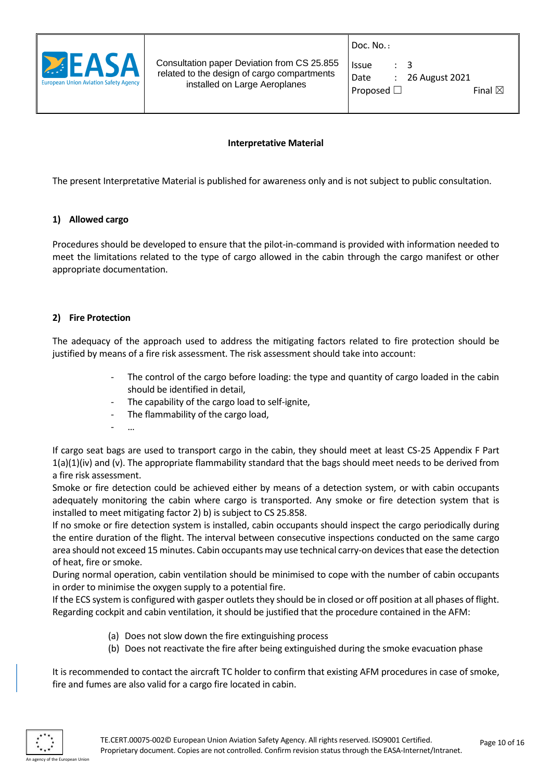

| Issue              | $\cdot$ 3 |                             |                   |  |
|--------------------|-----------|-----------------------------|-------------------|--|
| Date               |           | $\therefore$ 26 August 2021 |                   |  |
| Proposed $\square$ |           |                             | Final $\boxtimes$ |  |

#### **Interpretative Material**

The present Interpretative Material is published for awareness only and is not subject to public consultation.

#### **1) Allowed cargo**

Procedures should be developed to ensure that the pilot-in-command is provided with information needed to meet the limitations related to the type of cargo allowed in the cabin through the cargo manifest or other appropriate documentation.

#### **2) Fire Protection**

The adequacy of the approach used to address the mitigating factors related to fire protection should be justified by means of a fire risk assessment. The risk assessment should take into account:

- The control of the cargo before loading: the type and quantity of cargo loaded in the cabin should be identified in detail,
- The capability of the cargo load to self-ignite,
- The flammability of the cargo load,
- …

If cargo seat bags are used to transport cargo in the cabin, they should meet at least CS-25 Appendix F Part  $1(a)(1)(iv)$  and (v). The appropriate flammability standard that the bags should meet needs to be derived from a fire risk assessment.

Smoke or fire detection could be achieved either by means of a detection system, or with cabin occupants adequately monitoring the cabin where cargo is transported. Any smoke or fire detection system that is installed to meet mitigating factor 2) b) is subject to CS 25.858.

If no smoke or fire detection system is installed, cabin occupants should inspect the cargo periodically during the entire duration of the flight. The interval between consecutive inspections conducted on the same cargo area should not exceed 15 minutes. Cabin occupants may use technical carry-on devices that ease the detection of heat, fire or smoke.

During normal operation, cabin ventilation should be minimised to cope with the number of cabin occupants in order to minimise the oxygen supply to a potential fire.

If the ECS system is configured with gasper outlets they should be in closed or off position at all phases of flight. Regarding cockpit and cabin ventilation, it should be justified that the procedure contained in the AFM:

- (a) Does not slow down the fire extinguishing process
- (b) Does not reactivate the fire after being extinguished during the smoke evacuation phase

It is recommended to contact the aircraft TC holder to confirm that existing AFM procedures in case of smoke, fire and fumes are also valid for a cargo fire located in cabin.

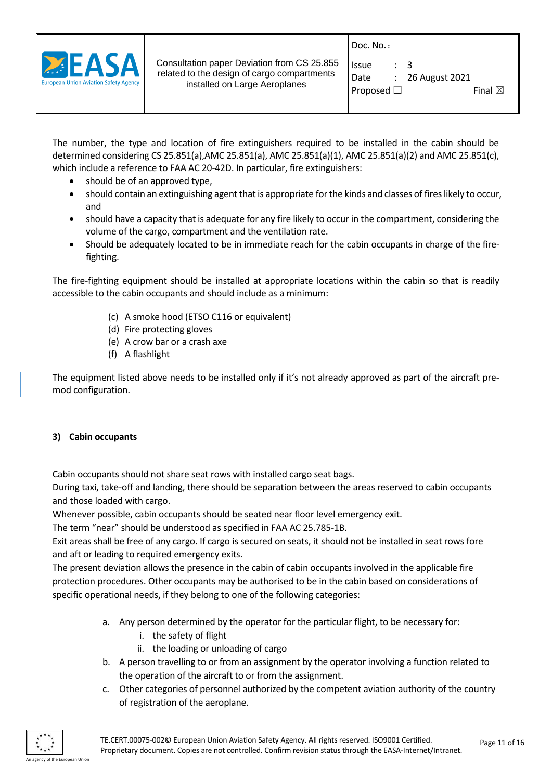

| <b>Issue</b>       | $\therefore$ 3 |                             |                   |  |
|--------------------|----------------|-----------------------------|-------------------|--|
| Date               |                | $\therefore$ 26 August 2021 |                   |  |
| Proposed $\square$ |                |                             | Final $\boxtimes$ |  |

The number, the type and location of fire extinguishers required to be installed in the cabin should be determined considering CS 25.851(a),AMC 25.851(a), AMC 25.851(a)(1), AMC 25.851(a)(2) and AMC 25.851(c), which include a reference to FAA AC 20-42D. In particular, fire extinguishers:

- should be of an approved type,
- should contain an extinguishing agent that is appropriate for the kinds and classes of fires likely to occur, and
- should have a capacity that is adequate for any fire likely to occur in the compartment, considering the volume of the cargo, compartment and the ventilation rate.
- Should be adequately located to be in immediate reach for the cabin occupants in charge of the firefighting.

The fire-fighting equipment should be installed at appropriate locations within the cabin so that is readily accessible to the cabin occupants and should include as a minimum:

- (c) A smoke hood (ETSO C116 or equivalent)
- (d) Fire protecting gloves
- (e) A crow bar or a crash axe
- (f) A flashlight

The equipment listed above needs to be installed only if it's not already approved as part of the aircraft premod configuration.

# **3) Cabin occupants**

Cabin occupants should not share seat rows with installed cargo seat bags.

During taxi, take-off and landing, there should be separation between the areas reserved to cabin occupants and those loaded with cargo.

Whenever possible, cabin occupants should be seated near floor level emergency exit.

The term "near" should be understood as specified in FAA AC 25.785-1B.

Exit areas shall be free of any cargo. If cargo is secured on seats, it should not be installed in seat rows fore and aft or leading to required emergency exits.

The present deviation allows the presence in the cabin of cabin occupants involved in the applicable fire protection procedures. Other occupants may be authorised to be in the cabin based on considerations of specific operational needs, if they belong to one of the following categories:

- a. Any person determined by the operator for the particular flight, to be necessary for:
	- i. the safety of flight
	- ii. the loading or unloading of cargo
- b. A person travelling to or from an assignment by the operator involving a function related to the operation of the aircraft to or from the assignment.
- c. Other categories of personnel authorized by the competent aviation authority of the country of registration of the aeroplane.

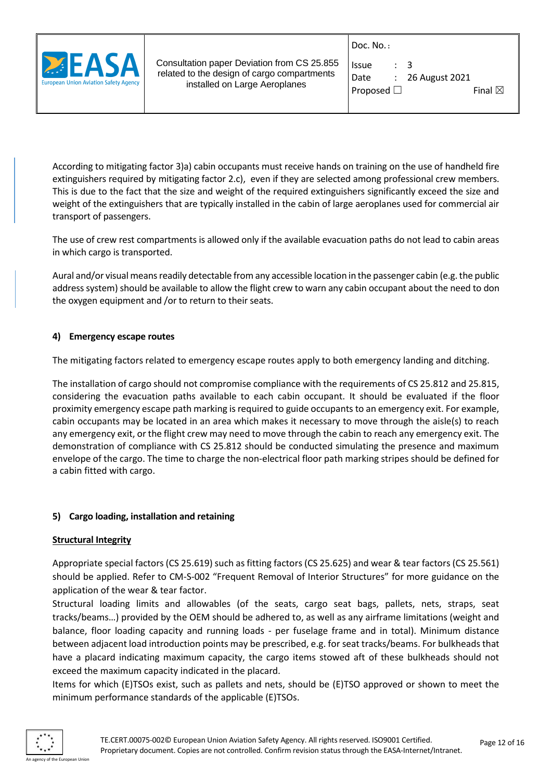

| Issue           | $\cdot$ 3 |                    |                   |  |
|-----------------|-----------|--------------------|-------------------|--|
| Date            |           | $: 26$ August 2021 |                   |  |
| Proposed $\Box$ |           |                    | Final $\boxtimes$ |  |

According to mitigating factor 3)a) cabin occupants must receive hands on training on the use of handheld fire extinguishers required by mitigating factor 2.c), even if they are selected among professional crew members. This is due to the fact that the size and weight of the required extinguishers significantly exceed the size and weight of the extinguishers that are typically installed in the cabin of large aeroplanes used for commercial air transport of passengers.

The use of crew rest compartments is allowed only if the available evacuation paths do not lead to cabin areas in which cargo is transported.

Aural and/or visual means readily detectable from any accessible location in the passenger cabin (e.g. the public address system) should be available to allow the flight crew to warn any cabin occupant about the need to don the oxygen equipment and /or to return to their seats.

# **4) Emergency escape routes**

The mitigating factors related to emergency escape routes apply to both emergency landing and ditching.

The installation of cargo should not compromise compliance with the requirements of CS 25.812 and 25.815, considering the evacuation paths available to each cabin occupant. It should be evaluated if the floor proximity emergency escape path marking is required to guide occupants to an emergency exit. For example, cabin occupants may be located in an area which makes it necessary to move through the aisle(s) to reach any emergency exit, or the flight crew may need to move through the cabin to reach any emergency exit. The demonstration of compliance with CS 25.812 should be conducted simulating the presence and maximum envelope of the cargo. The time to charge the non-electrical floor path marking stripes should be defined for a cabin fitted with cargo.

#### **5) Cargo loading, installation and retaining**

#### **Structural Integrity**

Appropriate special factors (CS 25.619) such as fitting factors (CS 25.625) and wear & tear factors (CS 25.561) should be applied. Refer to CM-S-002 "Frequent Removal of Interior Structures" for more guidance on the application of the wear & tear factor.

Structural loading limits and allowables (of the seats, cargo seat bags, pallets, nets, straps, seat tracks/beams…) provided by the OEM should be adhered to, as well as any airframe limitations (weight and balance, floor loading capacity and running loads - per fuselage frame and in total). Minimum distance between adjacent load introduction points may be prescribed, e.g. for seat tracks/beams. For bulkheads that have a placard indicating maximum capacity, the cargo items stowed aft of these bulkheads should not exceed the maximum capacity indicated in the placard.

Items for which (E)TSOs exist, such as pallets and nets, should be (E)TSO approved or shown to meet the minimum performance standards of the applicable (E)TSOs.

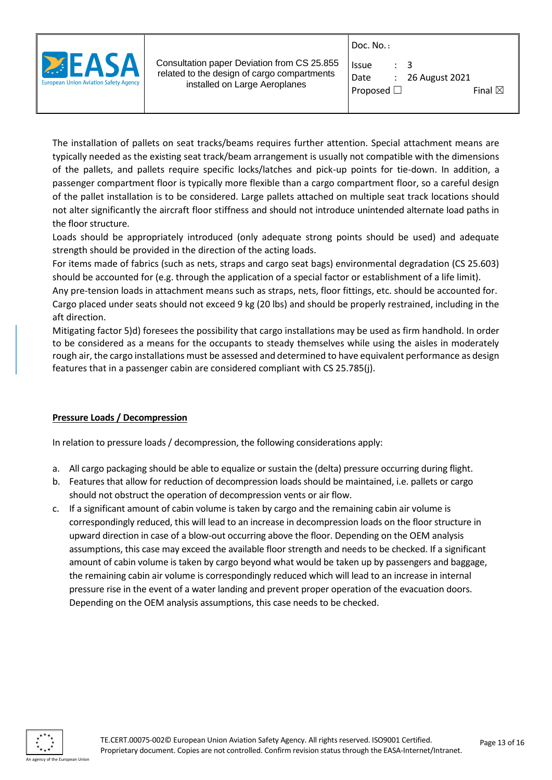

| Issue              | $\cdot$ 3 |                             |                   |  |
|--------------------|-----------|-----------------------------|-------------------|--|
| Date               |           | $\therefore$ 26 August 2021 |                   |  |
| Proposed $\square$ |           |                             | Final $\boxtimes$ |  |

The installation of pallets on seat tracks/beams requires further attention. Special attachment means are typically needed as the existing seat track/beam arrangement is usually not compatible with the dimensions of the pallets, and pallets require specific locks/latches and pick-up points for tie-down. In addition, a passenger compartment floor is typically more flexible than a cargo compartment floor, so a careful design of the pallet installation is to be considered. Large pallets attached on multiple seat track locations should not alter significantly the aircraft floor stiffness and should not introduce unintended alternate load paths in the floor structure.

Loads should be appropriately introduced (only adequate strong points should be used) and adequate strength should be provided in the direction of the acting loads.

For items made of fabrics (such as nets, straps and cargo seat bags) environmental degradation (CS 25.603) should be accounted for (e.g. through the application of a special factor or establishment of a life limit).

Any pre-tension loads in attachment means such as straps, nets, floor fittings, etc. should be accounted for. Cargo placed under seats should not exceed 9 kg (20 lbs) and should be properly restrained, including in the aft direction.

Mitigating factor 5)d) foresees the possibility that cargo installations may be used as firm handhold. In order to be considered as a means for the occupants to steady themselves while using the aisles in moderately rough air, the cargo installations must be assessed and determined to have equivalent performance as design features that in a passenger cabin are considered compliant with CS 25.785(j).

# **Pressure Loads / Decompression**

In relation to pressure loads / decompression, the following considerations apply:

- a. All cargo packaging should be able to equalize or sustain the (delta) pressure occurring during flight.
- b. Features that allow for reduction of decompression loads should be maintained, i.e. pallets or cargo should not obstruct the operation of decompression vents or air flow.
- c. If a significant amount of cabin volume is taken by cargo and the remaining cabin air volume is correspondingly reduced, this will lead to an increase in decompression loads on the floor structure in upward direction in case of a blow-out occurring above the floor. Depending on the OEM analysis assumptions, this case may exceed the available floor strength and needs to be checked. If a significant amount of cabin volume is taken by cargo beyond what would be taken up by passengers and baggage, the remaining cabin air volume is correspondingly reduced which will lead to an increase in internal pressure rise in the event of a water landing and prevent proper operation of the evacuation doors. Depending on the OEM analysis assumptions, this case needs to be checked.

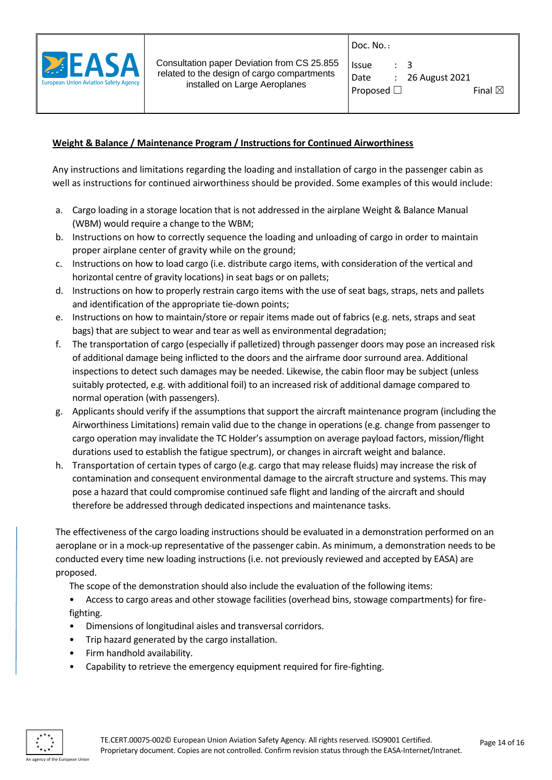

Doc. No. **:**

| <b>Issue</b>       | $\cdot$ 3 |                  |                   |  |
|--------------------|-----------|------------------|-------------------|--|
| Date               |           | : 26 August 2021 |                   |  |
| Proposed $\square$ |           |                  | Final $\boxtimes$ |  |

# **Weight & Balance / Maintenance Program / Instructions for Continued Airworthiness**

Any instructions and limitations regarding the loading and installation of cargo in the passenger cabin as well as instructions for continued airworthiness should be provided. Some examples of this would include:

- a. Cargo loading in a storage location that is not addressed in the airplane Weight & Balance Manual (WBM) would require a change to the WBM;
- b. Instructions on how to correctly sequence the loading and unloading of cargo in order to maintain proper airplane center of gravity while on the ground;
- c. Instructions on how to load cargo (i.e. distribute cargo items, with consideration of the vertical and horizontal centre of gravity locations) in seat bags or on pallets;
- d. Instructions on how to properly restrain cargo items with the use of seat bags, straps, nets and pallets and identification of the appropriate tie-down points;
- e. Instructions on how to maintain/store or repair items made out of fabrics (e.g. nets, straps and seat bags) that are subject to wear and tear as well as environmental degradation;
- f. The transportation of cargo (especially if palletized) through passenger doors may pose an increased risk of additional damage being inflicted to the doors and the airframe door surround area. Additional inspections to detect such damages may be needed. Likewise, the cabin floor may be subject (unless suitably protected, e.g. with additional foil) to an increased risk of additional damage compared to normal operation (with passengers).
- g. Applicants should verify if the assumptions that support the aircraft maintenance program (including the Airworthiness Limitations) remain valid due to the change in operations (e.g. change from passenger to cargo operation may invalidate the TC Holder's assumption on average payload factors, mission/flight durations used to establish the fatigue spectrum), or changes in aircraft weight and balance.
- h. Transportation of certain types of cargo (e.g. cargo that may release fluids) may increase the risk of contamination and consequent environmental damage to the aircraft structure and systems. This may pose a hazard that could compromise continued safe flight and landing of the aircraft and should therefore be addressed through dedicated inspections and maintenance tasks.

The effectiveness of the cargo loading instructions should be evaluated in a demonstration performed on an aeroplane or in a mock-up representative of the passenger cabin. As minimum, a demonstration needs to be conducted every time new loading instructions (i.e. not previously reviewed and accepted by EASA) are proposed.

The scope of the demonstration should also include the evaluation of the following items:

• Access to cargo areas and other stowage facilities (overhead bins, stowage compartments) for firefighting.

- Dimensions of longitudinal aisles and transversal corridors.
- Trip hazard generated by the cargo installation.
- Firm handhold availability.
- Capability to retrieve the emergency equipment required for fire-fighting.

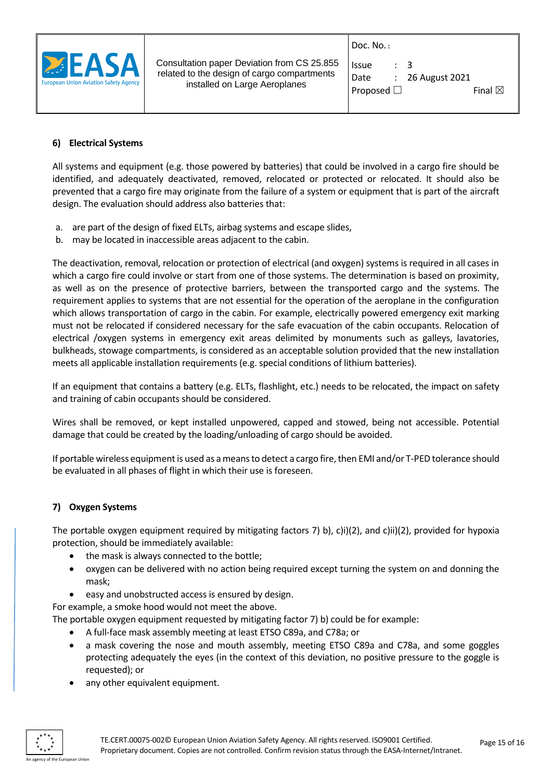

| <b>Issue</b>       | : 3 |                    |                   |  |
|--------------------|-----|--------------------|-------------------|--|
| Date               |     | $: 26$ August 2021 |                   |  |
| Proposed $\square$ |     |                    | Final $\boxtimes$ |  |

# **6) Electrical Systems**

All systems and equipment (e.g. those powered by batteries) that could be involved in a cargo fire should be identified, and adequately deactivated, removed, relocated or protected or relocated. It should also be prevented that a cargo fire may originate from the failure of a system or equipment that is part of the aircraft design. The evaluation should address also batteries that:

- a. are part of the design of fixed ELTs, airbag systems and escape slides,
- b. may be located in inaccessible areas adjacent to the cabin.

The deactivation, removal, relocation or protection of electrical (and oxygen) systems is required in all cases in which a cargo fire could involve or start from one of those systems. The determination is based on proximity, as well as on the presence of protective barriers, between the transported cargo and the systems. The requirement applies to systems that are not essential for the operation of the aeroplane in the configuration which allows transportation of cargo in the cabin. For example, electrically powered emergency exit marking must not be relocated if considered necessary for the safe evacuation of the cabin occupants. Relocation of electrical /oxygen systems in emergency exit areas delimited by monuments such as galleys, lavatories, bulkheads, stowage compartments, is considered as an acceptable solution provided that the new installation meets all applicable installation requirements (e.g. special conditions of lithium batteries).

If an equipment that contains a battery (e.g. ELTs, flashlight, etc.) needs to be relocated, the impact on safety and training of cabin occupants should be considered.

Wires shall be removed, or kept installed unpowered, capped and stowed, being not accessible. Potential damage that could be created by the loading/unloading of cargo should be avoided.

If portable wireless equipment is used as a means to detect a cargo fire, then EMI and/or T-PED tolerance should be evaluated in all phases of flight in which their use is foreseen.

# **7) Oxygen Systems**

The portable oxygen equipment required by mitigating factors 7) b), c)i)(2), and c)ii)(2), provided for hypoxia protection, should be immediately available:

- the mask is always connected to the bottle;
- oxygen can be delivered with no action being required except turning the system on and donning the mask;
- easy and unobstructed access is ensured by design.

For example, a smoke hood would not meet the above.

The portable oxygen equipment requested by mitigating factor 7) b) could be for example:

- A full-face mask assembly meeting at least ETSO C89a, and C78a; or
- a mask covering the nose and mouth assembly, meeting ETSO C89a and C78a, and some goggles protecting adequately the eyes (in the context of this deviation, no positive pressure to the goggle is requested); or
- any other equivalent equipment.